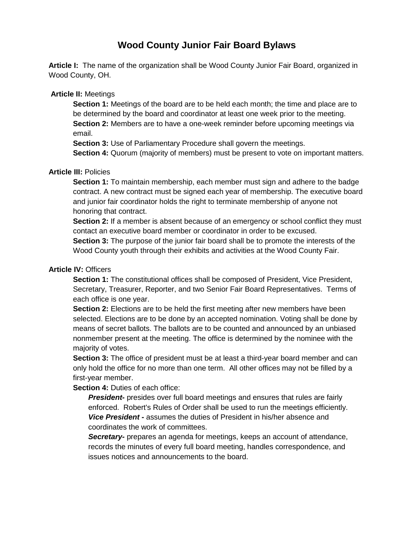# **Wood County Junior Fair Board Bylaws**

**Article I:** The name of the organization shall be Wood County Junior Fair Board, organized in Wood County, OH.

## **Article II:** Meetings

**Section 1:** Meetings of the board are to be held each month; the time and place are to be determined by the board and coordinator at least one week prior to the meeting. **Section 2:** Members are to have a one-week reminder before upcoming meetings via email.

**Section 3:** Use of Parliamentary Procedure shall govern the meetings.

**Section 4:** Quorum (majority of members) must be present to vote on important matters.

## **Article III:** Policies

**Section 1:** To maintain membership, each member must sign and adhere to the badge contract. A new contract must be signed each year of membership. The executive board and junior fair coordinator holds the right to terminate membership of anyone not honoring that contract.

**Section 2:** If a member is absent because of an emergency or school conflict they must contact an executive board member or coordinator in order to be excused.

**Section 3:** The purpose of the junior fair board shall be to promote the interests of the Wood County youth through their exhibits and activities at the Wood County Fair.

## **Article IV:** Officers

**Section 1:** The constitutional offices shall be composed of President, Vice President, Secretary, Treasurer, Reporter, and two Senior Fair Board Representatives. Terms of each office is one year.

**Section 2:** Elections are to be held the first meeting after new members have been selected. Elections are to be done by an accepted nomination. Voting shall be done by means of secret ballots. The ballots are to be counted and announced by an unbiased nonmember present at the meeting. The office is determined by the nominee with the majority of votes.

**Section 3:** The office of president must be at least a third-year board member and can only hold the office for no more than one term. All other offices may not be filled by a first-year member.

**Section 4:** Duties of each office:

*President-* presides over full board meetings and ensures that rules are fairly enforced. Robert's Rules of Order shall be used to run the meetings efficiently. *Vice President -* assumes the duties of President in his/her absence and coordinates the work of committees.

*Secretary-* prepares an agenda for meetings, keeps an account of attendance, records the minutes of every full board meeting, handles correspondence, and issues notices and announcements to the board.